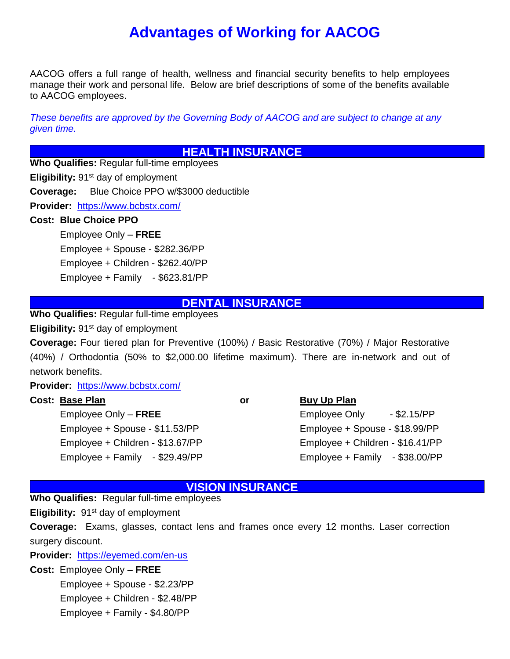# **Advantages of Working for AACOG**

AACOG offers a full range of health, wellness and financial security benefits to help employees manage their work and personal life. Below are brief descriptions of some of the benefits available to AACOG employees.

*These benefits are approved by the Governing Body of AACOG and are subject to change at any given time.*

#### **HEALTH INSURANCE**

**Who Qualifies:** Regular full-time employees

**Eligibility:** 91<sup>st</sup> day of employment

**Coverage:** Blue Choice PPO w/\$3000 deductible

**Provider:** <https://www.bcbstx.com/>

#### **Cost: Blue Choice PPO**

Employee Only – **FREE** Employee + Spouse - \$282.36/PP Employee + Children - \$262.40/PP Employee + Family - \$623.81/PP

#### **DENTAL INSURANCE**

**Who Qualifies:** Regular full-time employees

**Eligibility:** 91<sup>st</sup> day of employment

**Coverage:** Four tiered plan for Preventive (100%) / Basic Restorative (70%) / Major Restorative (40%) / Orthodontia (50% to \$2,000.00 lifetime maximum). There are in-network and out of network benefits.

**Provider:** <https://www.bcbstx.com/>

#### **Cost: Base Plan by Cost: Base Plan**

Employee Only – **FREE** Employee Only - \$2.15/PP Employee + Spouse - \$11.53/PP Employee + Spouse - \$18.99/PP Employee + Children - \$13.67/PP Employee + Children - \$16.41/PP

Employee + Family - \$29.49/PP Employee + Family - \$38.00/PP

#### **VISION INSURANCE**

**Who Qualifies:** Regular full-time employees

**Eligibility:** 91<sup>st</sup> day of employment

**Coverage:** Exams, glasses, contact lens and frames once every 12 months. Laser correction surgery discount.

**Provider:** <https://eyemed.com/en-us>

**Cost:** Employee Only – **FREE**

Employee + Spouse - \$2.23/PP Employee + Children - \$2.48/PP Employee + Family - \$4.80/PP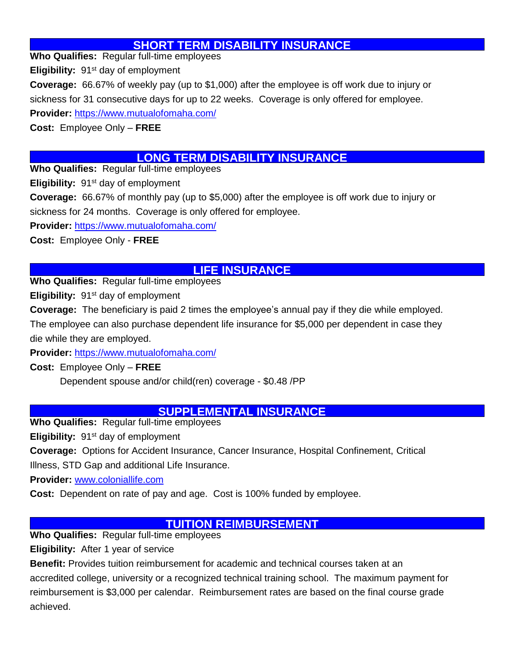### **SHORT TERM DISABILITY INSURANCE**

**Who Qualifies:** Regular full-time employees

**Eligibility:** 91<sup>st</sup> day of employment

**Coverage:** 66.67% of weekly pay (up to \$1,000) after the employee is off work due to injury or sickness for 31 consecutive days for up to 22 weeks. Coverage is only offered for employee. **Provider:** <https://www.mutualofomaha.com/>

**Cost:** Employee Only – **FREE**

# **LONG TERM DISABILITY INSURANCE**

**Who Qualifies:** Regular full-time employees

**Eligibility:** 91<sup>st</sup> day of employment

**Coverage:** 66.67% of monthly pay (up to \$5,000) after the employee is off work due to injury or

sickness for 24 months. Coverage is only offered for employee.

**Provider:** <https://www.mutualofomaha.com/>

**Cost:** Employee Only - **FREE**

# **LIFE INSURANCE**

**Who Qualifies:** Regular full-time employees

**Eligibility:** 91st day of employment

**Coverage:** The beneficiary is paid 2 times the employee's annual pay if they die while employed.

The employee can also purchase dependent life insurance for \$5,000 per dependent in case they die while they are employed.

**Provider:** <https://www.mutualofomaha.com/>

**Cost:** Employee Only – **FREE**

Dependent spouse and/or child(ren) coverage - \$0.48 /PP

#### **SUPPLEMENTAL INSURANCE**

**Who Qualifies:** Regular full-time employees

**Eligibility:** 91st day of employment

**Coverage:** Options for Accident Insurance, Cancer Insurance, Hospital Confinement, Critical Illness, STD Gap and additional Life Insurance.

**Provider:** [www.coloniallife.com](http://www.coloniallife.com/)

**Cost:** Dependent on rate of pay and age. Cost is 100% funded by employee.

# **TUITION REIMBURSEMENT**

**Who Qualifies:** Regular full-time employees

**Eligibility:** After 1 year of service

**Benefit:** Provides tuition reimbursement for academic and technical courses taken at an accredited college, university or a recognized technical training school. The maximum payment for reimbursement is \$3,000 per calendar. Reimbursement rates are based on the final course grade achieved.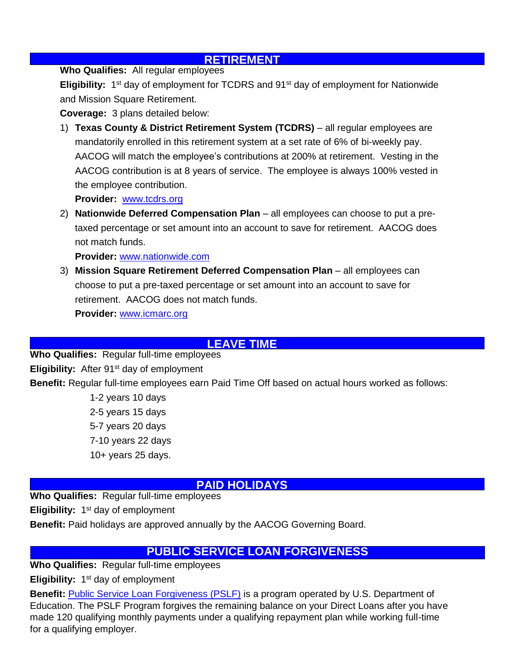#### **RETIREMENT**

**Who Qualifies:** All regular employees

**Eligibility:** 1<sup>st</sup> day of employment for TCDRS and 91<sup>st</sup> day of employment for Nationwide and Mission Square Retirement.

**Coverage:** 3 plans detailed below:

1) **Texas County & District Retirement System (TCDRS)** – all regular employees are mandatorily enrolled in this retirement system at a set rate of 6% of bi-weekly pay. AACOG will match the employee's contributions at 200% at retirement. Vesting in the AACOG contribution is at 8 years of service. The employee is always 100% vested in the employee contribution.

**Provider:** [www.tcdrs.org](http://www.tcdrs.org/)

2) **Nationwide Deferred Compensation Plan** – all employees can choose to put a pretaxed percentage or set amount into an account to save for retirement. AACOG does not match funds.

**Provider:** [www.nationwide.com](http://www.nationwide.com/)

3) **Mission Square Retirement Deferred Compensation Plan** – all employees can choose to put a pre-taxed percentage or set amount into an account to save for retirement. AACOG does not match funds.

**Provider:** [www.icmarc.org](http://www.icmarc.org/)

#### **LEAVE TIME**

**Who Qualifies:** Regular full-time employees **Eligibility:** After 91<sup>st</sup> day of employment **Benefit:** Regular full-time employees earn Paid Time Off based on actual hours worked as follows:

> 1-2 years 10 days 2-5 years 15 days 5-7 years 20 days 7-10 years 22 days 10+ years 25 days.

#### **PAID HOLIDAYS**

**Who Qualifies:** Regular full-time employees

**Eligibility:** 1<sup>st</sup> day of employment

**Benefit:** Paid holidays are approved annually by the AACOG Governing Board.

# **PUBLIC SERVICE LOAN FORGIVENESS**

**Who Qualifies:** Regular full-time employees

**Eligibility:** 1<sup>st</sup> day of employment

**Benefit: [Public Service Loan Forgiveness \(PSLF\)](https://studentaid.gov/manage-loans/forgiveness-cancellation/public-service)** is a program operated by U.S. Department of Education. The PSLF Program forgives the remaining balance on your Direct Loans after you have made 120 qualifying monthly payments under a qualifying repayment plan while working full-time for a qualifying employer.